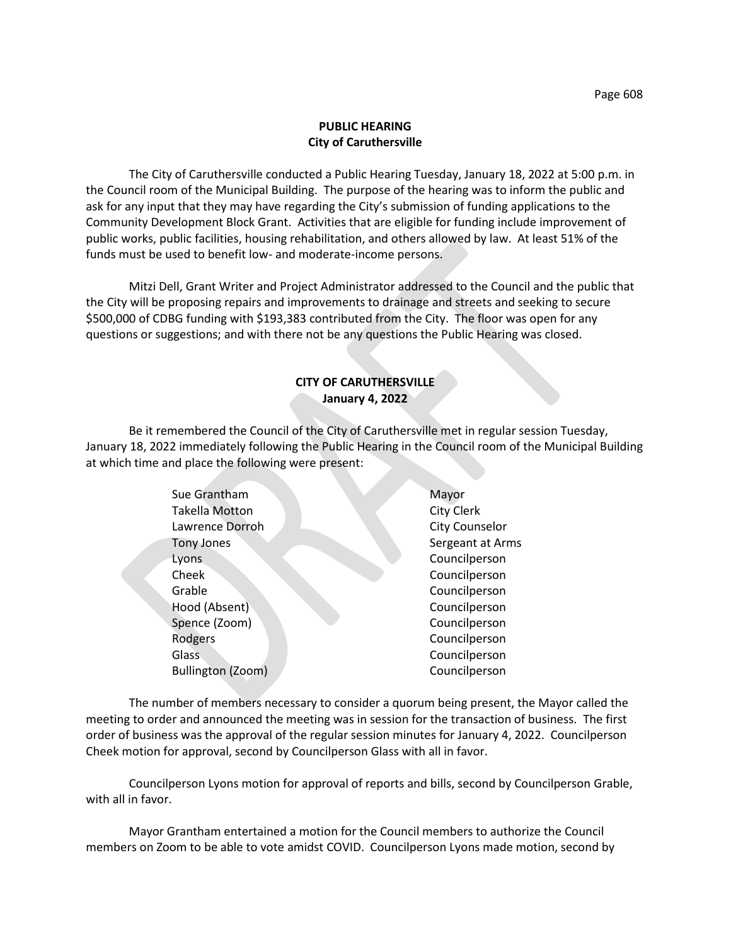## **PUBLIC HEARING City of Caruthersville**

The City of Caruthersville conducted a Public Hearing Tuesday, January 18, 2022 at 5:00 p.m. in the Council room of the Municipal Building. The purpose of the hearing was to inform the public and ask for any input that they may have regarding the City's submission of funding applications to the Community Development Block Grant. Activities that are eligible for funding include improvement of public works, public facilities, housing rehabilitation, and others allowed by law. At least 51% of the funds must be used to benefit low- and moderate-income persons.

Mitzi Dell, Grant Writer and Project Administrator addressed to the Council and the public that the City will be proposing repairs and improvements to drainage and streets and seeking to secure \$500,000 of CDBG funding with \$193,383 contributed from the City. The floor was open for any questions or suggestions; and with there not be any questions the Public Hearing was closed.

## **CITY OF CARUTHERSVILLE January 4, 2022**

Be it remembered the Council of the City of Caruthersville met in regular session Tuesday, January 18, 2022 immediately following the Public Hearing in the Council room of the Municipal Building at which time and place the following were present:

| Sue Grantham          | Mayor                 |
|-----------------------|-----------------------|
| <b>Takella Motton</b> | <b>City Clerk</b>     |
| Lawrence Dorroh       | <b>City Counselor</b> |
| <b>Tony Jones</b>     | Sergeant at Arms      |
| Lyons                 | Councilperson         |
| Cheek                 | Councilperson         |
| Grable                | Councilperson         |
| Hood (Absent)         | Councilperson         |
| Spence (Zoom)         | Councilperson         |
| Rodgers               | Councilperson         |
| Glass                 | Councilperson         |
| Bullington (Zoom)     | Councilperson         |
|                       |                       |

The number of members necessary to consider a quorum being present, the Mayor called the meeting to order and announced the meeting was in session for the transaction of business. The first order of business was the approval of the regular session minutes for January 4, 2022. Councilperson Cheek motion for approval, second by Councilperson Glass with all in favor.

Councilperson Lyons motion for approval of reports and bills, second by Councilperson Grable, with all in favor.

Mayor Grantham entertained a motion for the Council members to authorize the Council members on Zoom to be able to vote amidst COVID. Councilperson Lyons made motion, second by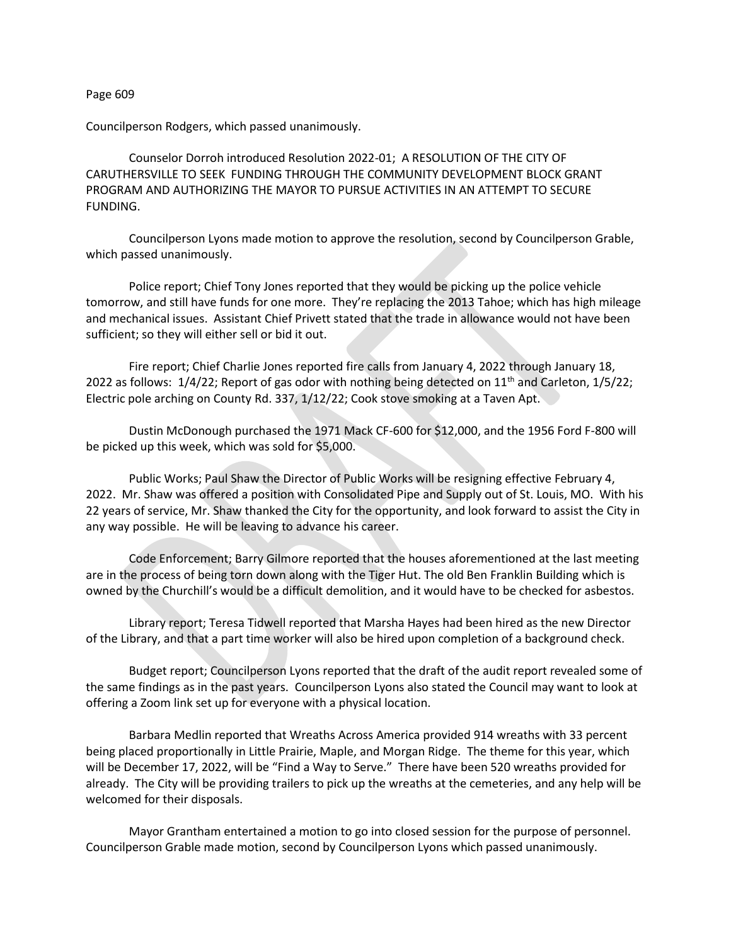## Page 609

Councilperson Rodgers, which passed unanimously.

Counselor Dorroh introduced Resolution 2022-01; A RESOLUTION OF THE CITY OF CARUTHERSVILLE TO SEEK FUNDING THROUGH THE COMMUNITY DEVELOPMENT BLOCK GRANT PROGRAM AND AUTHORIZING THE MAYOR TO PURSUE ACTIVITIES IN AN ATTEMPT TO SECURE FUNDING.

Councilperson Lyons made motion to approve the resolution, second by Councilperson Grable, which passed unanimously.

Police report; Chief Tony Jones reported that they would be picking up the police vehicle tomorrow, and still have funds for one more. They're replacing the 2013 Tahoe; which has high mileage and mechanical issues. Assistant Chief Privett stated that the trade in allowance would not have been sufficient; so they will either sell or bid it out.

Fire report; Chief Charlie Jones reported fire calls from January 4, 2022 through January 18, 2022 as follows:  $1/4/22$ ; Report of gas odor with nothing being detected on  $11<sup>th</sup>$  and Carleton,  $1/5/22$ ; Electric pole arching on County Rd. 337, 1/12/22; Cook stove smoking at a Taven Apt.

Dustin McDonough purchased the 1971 Mack CF-600 for \$12,000, and the 1956 Ford F-800 will be picked up this week, which was sold for \$5,000.

Public Works; Paul Shaw the Director of Public Works will be resigning effective February 4, 2022. Mr. Shaw was offered a position with Consolidated Pipe and Supply out of St. Louis, MO. With his 22 years of service, Mr. Shaw thanked the City for the opportunity, and look forward to assist the City in any way possible. He will be leaving to advance his career.

Code Enforcement; Barry Gilmore reported that the houses aforementioned at the last meeting are in the process of being torn down along with the Tiger Hut. The old Ben Franklin Building which is owned by the Churchill's would be a difficult demolition, and it would have to be checked for asbestos.

Library report; Teresa Tidwell reported that Marsha Hayes had been hired as the new Director of the Library, and that a part time worker will also be hired upon completion of a background check.

Budget report; Councilperson Lyons reported that the draft of the audit report revealed some of the same findings as in the past years. Councilperson Lyons also stated the Council may want to look at offering a Zoom link set up for everyone with a physical location.

Barbara Medlin reported that Wreaths Across America provided 914 wreaths with 33 percent being placed proportionally in Little Prairie, Maple, and Morgan Ridge. The theme for this year, which will be December 17, 2022, will be "Find a Way to Serve." There have been 520 wreaths provided for already. The City will be providing trailers to pick up the wreaths at the cemeteries, and any help will be welcomed for their disposals.

Mayor Grantham entertained a motion to go into closed session for the purpose of personnel. Councilperson Grable made motion, second by Councilperson Lyons which passed unanimously.